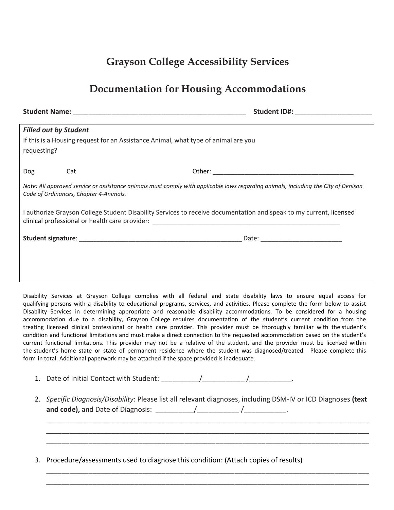## **Grayson College Accessibility Services**

## **Documentation for Housing Accommodations**

|             |                                        | Student ID#: ______________________                                                                                                |
|-------------|----------------------------------------|------------------------------------------------------------------------------------------------------------------------------------|
|             | <b>Filled out by Student</b>           |                                                                                                                                    |
| requesting? |                                        | If this is a Housing request for an Assistance Animal, what type of animal are you                                                 |
| Dog         | Cat                                    |                                                                                                                                    |
|             | Code of Ordinances, Chapter 4-Animals. | Note: All approved service or assistance animals must comply with applicable laws regarding animals, including the City of Denison |
|             |                                        | I authorize Grayson College Student Disability Services to receive documentation and speak to my current, licensed                 |
|             |                                        |                                                                                                                                    |
|             |                                        |                                                                                                                                    |
|             |                                        |                                                                                                                                    |

Disability Services at Grayson College complies with all federal and state disability laws to ensure equal access for qualifying persons with a disability to educational programs, services, and activities. Please complete the form below to assist Disability Services in determining appropriate and reasonable disability accommodations. To be considered for a housing accommodation due to a disability, Grayson College requires documentation of the student's current condition from the treating licensed clinical professional or health care provider. This provider must be thoroughly familiar with the student's condition and functional limitations and must make a direct connection to the requested accommodation based on the student's current functional limitations. This provider may not be a relative of the student, and the provider must be licensed within the student's home state or state of permanent residence where the student was diagnosed/treated. Please complete this form in total. Additional paperwork may be attached if the space provided is inadequate.

- 1. Date of Initial Contact with Student: \_\_\_\_\_\_\_\_\_\_/\_\_\_\_\_\_\_\_\_\_\_ /\_\_\_\_\_\_\_\_\_\_\_.
- 2. *Specific Diagnosis/Disability*: Please list all relevant diagnoses, including DSM-IV or ICD Diagnoses **(text** and code), and Date of Diagnosis: \_\_\_\_\_\_\_\_\_\_\_\_/\_\_\_\_\_\_\_\_\_\_\_\_\_\_\_\_\_\_\_\_\_\_.

\_\_\_\_\_\_\_\_\_\_\_\_\_\_\_\_\_\_\_\_\_\_\_\_\_\_\_\_\_\_\_\_\_\_\_\_\_\_\_\_\_\_\_\_\_\_\_\_\_\_\_\_\_\_\_\_\_\_\_\_\_\_\_\_\_\_\_\_\_\_\_\_\_\_\_\_\_\_\_\_\_\_\_\_ \_\_\_\_\_\_\_\_\_\_\_\_\_\_\_\_\_\_\_\_\_\_\_\_\_\_\_\_\_\_\_\_\_\_\_\_\_\_\_\_\_\_\_\_\_\_\_\_\_\_\_\_\_\_\_\_\_\_\_\_\_\_\_\_\_\_\_\_\_\_\_\_\_\_\_\_\_\_\_\_\_\_\_\_ \_\_\_\_\_\_\_\_\_\_\_\_\_\_\_\_\_\_\_\_\_\_\_\_\_\_\_\_\_\_\_\_\_\_\_\_\_\_\_\_\_\_\_\_\_\_\_\_\_\_\_\_\_\_\_\_\_\_\_\_\_\_\_\_\_\_\_\_\_\_\_\_\_\_\_\_\_\_\_\_\_\_\_\_

\_\_\_\_\_\_\_\_\_\_\_\_\_\_\_\_\_\_\_\_\_\_\_\_\_\_\_\_\_\_\_\_\_\_\_\_\_\_\_\_\_\_\_\_\_\_\_\_\_\_\_\_\_\_\_\_\_\_\_\_\_\_\_\_\_\_\_\_\_\_\_\_\_\_\_\_\_\_\_\_\_\_\_\_ \_\_\_\_\_\_\_\_\_\_\_\_\_\_\_\_\_\_\_\_\_\_\_\_\_\_\_\_\_\_\_\_\_\_\_\_\_\_\_\_\_\_\_\_\_\_\_\_\_\_\_\_\_\_\_\_\_\_\_\_\_\_\_\_\_\_\_\_\_\_\_\_\_\_\_\_\_\_\_\_\_\_\_\_

3. Procedure/assessments used to diagnose this condition: (Attach copies of results)